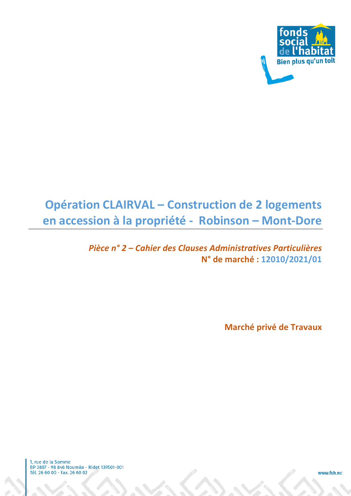

# **Opération CLAIRVAL – Construction de 2 logements en accession à la propriété - Robinson – Mont-Dore**

## *Pièce n° 2 – Cahier des Clauses Administratives Particulières*  **N° de marché : 12010/2021/01**

**Marché privé de Travaux** 

1, rue de la Somme 1, 100 de la Somme<br>BP 3887 - 98 846 Nouméa - Ridet 139501-001<br>Tél. 26 60 00 - Fax. 26 60 02

www.fsh.nc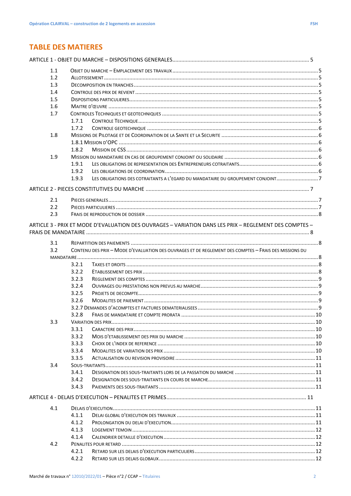## **TABLE DES MATIERES**

| 1.1 |       |                                                                                                        |  |
|-----|-------|--------------------------------------------------------------------------------------------------------|--|
| 1.2 |       |                                                                                                        |  |
| 1.3 |       |                                                                                                        |  |
| 1.4 |       |                                                                                                        |  |
| 1.5 |       |                                                                                                        |  |
| 1.6 |       |                                                                                                        |  |
| 1.7 |       |                                                                                                        |  |
|     | 1.7.1 |                                                                                                        |  |
|     | 1.7.2 |                                                                                                        |  |
| 1.8 |       |                                                                                                        |  |
|     |       |                                                                                                        |  |
|     | 1.8.2 |                                                                                                        |  |
| 1.9 |       |                                                                                                        |  |
|     | 1.9.1 |                                                                                                        |  |
|     | 1.9.2 |                                                                                                        |  |
|     | 1.9.3 | LES OBLIGATIONS DES COTRAITANTS A L'EGARD DU MANDATAIRE DU GROUPEMENT CONJOINT7                        |  |
|     |       |                                                                                                        |  |
| 2.1 |       |                                                                                                        |  |
| 2.2 |       |                                                                                                        |  |
| 2.3 |       |                                                                                                        |  |
|     |       | ARTICLE 3 - PRIX ET MODE D'EVALUATION DES OUVRAGES - VARIATION DANS LES PRIX - REGLEMENT DES COMPTES - |  |
| 3.1 |       |                                                                                                        |  |
| 3.2 |       | CONTENU DES PRIX - MODE D'EVALUATION DES OUVRAGES ET DE REGLEMENT DES COMPTES - FRAIS DES MISSIONS DU  |  |
|     |       |                                                                                                        |  |
|     | 3.2.1 |                                                                                                        |  |
|     | 3.2.2 |                                                                                                        |  |
|     | 3.2.3 |                                                                                                        |  |
|     | 3.2.4 |                                                                                                        |  |
|     | 3.2.5 |                                                                                                        |  |
|     | 3.2.6 |                                                                                                        |  |
|     |       |                                                                                                        |  |
|     | 3.2.8 |                                                                                                        |  |
| 3.3 |       |                                                                                                        |  |
|     | 3.3.1 |                                                                                                        |  |
|     | 3.3.2 |                                                                                                        |  |
|     | 3.3.3 |                                                                                                        |  |
|     | 3.3.4 |                                                                                                        |  |
|     | 3.3.5 |                                                                                                        |  |
| 3.4 |       |                                                                                                        |  |
|     | 3.4.1 |                                                                                                        |  |
|     | 3.4.2 |                                                                                                        |  |
|     | 3.4.3 |                                                                                                        |  |
|     |       |                                                                                                        |  |
| 4.1 |       |                                                                                                        |  |
|     | 4.1.1 |                                                                                                        |  |
|     | 4.1.2 |                                                                                                        |  |
|     | 4.1.3 |                                                                                                        |  |
|     | 4.1.4 |                                                                                                        |  |
| 4.2 |       |                                                                                                        |  |
|     | 4.2.1 |                                                                                                        |  |
|     | 4.2.2 |                                                                                                        |  |
|     |       |                                                                                                        |  |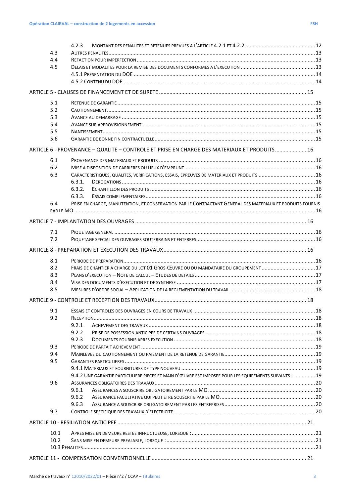$4.2.3$ 

| 10.1<br>10.2 |                                                                                                                      |  |
|--------------|----------------------------------------------------------------------------------------------------------------------|--|
|              |                                                                                                                      |  |
|              |                                                                                                                      |  |
| 9.7          | 9.6.3                                                                                                                |  |
|              | 9.6.2                                                                                                                |  |
|              | 9.6.1                                                                                                                |  |
| 9.6          |                                                                                                                      |  |
|              | 9.4.2 UNE GARANTIE PARTICULIERE PIECES ET MAIN D'ŒUVRE EST IMPOSEE POUR LES EQUIPEMENTS SUIVANTS :  19               |  |
|              |                                                                                                                      |  |
| 9.5          |                                                                                                                      |  |
| 9.4          |                                                                                                                      |  |
| 9.3          |                                                                                                                      |  |
|              | 9.2.3                                                                                                                |  |
|              | 9.2.2                                                                                                                |  |
|              | 9.2.1                                                                                                                |  |
| 9.2          |                                                                                                                      |  |
| 9.1          |                                                                                                                      |  |
|              |                                                                                                                      |  |
| 8.5          |                                                                                                                      |  |
| 8.4          |                                                                                                                      |  |
| 8.3          |                                                                                                                      |  |
| 8.2          | FRAIS DE CHANTIER A CHARGE DU LOT 01 GROS-ŒUVRE OU DU MANDATAIRE DU GROUPEMENT17                                     |  |
| 8.1          |                                                                                                                      |  |
|              |                                                                                                                      |  |
| 7.2          |                                                                                                                      |  |
| 7.1          |                                                                                                                      |  |
|              |                                                                                                                      |  |
|              |                                                                                                                      |  |
|              |                                                                                                                      |  |
| 6.4          | 6.3.3.<br>PRISE EN CHARGE, MANUTENTION, ET CONSERVATION PAR LE CONTRACTANT GENERAL DES MATERIAUX ET PRODUITS FOURNIS |  |
|              | 6.3.2.                                                                                                               |  |
|              | 6.3.1.                                                                                                               |  |
| 6.3          | CARACTERISTIQUES, QUALITES, VERIFICATIONS, ESSAIS, EPREUVES DE MATERIAUX ET PRODUITS  16                             |  |
| 6.2          |                                                                                                                      |  |
| 6.1          |                                                                                                                      |  |
|              | ARTICLE 6 - PROVENANCE - QUALITE - CONTROLE ET PRISE EN CHARGE DES MATERIAUX ET PRODUITS 16                          |  |
|              |                                                                                                                      |  |
| 5.6          |                                                                                                                      |  |
| 5.5          |                                                                                                                      |  |
| 5.4          |                                                                                                                      |  |
| 5.2<br>5.3   |                                                                                                                      |  |
| 5.1          |                                                                                                                      |  |
|              |                                                                                                                      |  |
|              |                                                                                                                      |  |
|              |                                                                                                                      |  |
|              |                                                                                                                      |  |
| 4.5          |                                                                                                                      |  |
| 4.4          |                                                                                                                      |  |
| 4.3          |                                                                                                                      |  |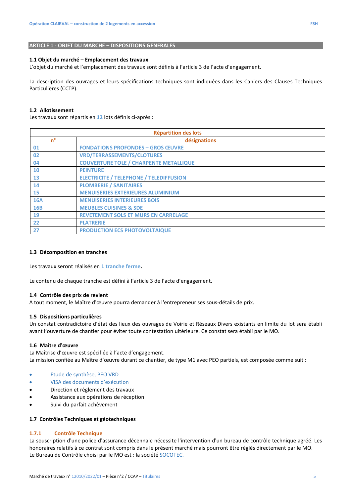#### **1.1 Objet du marché – Emplacement des travaux**

L'objet du marché et l'emplacement des travaux sont définis à l'article 3 de l'acte d'engagement.

La description des ouvrages et leurs spécifications techniques sont indiquées dans les Cahiers des Clauses Techniques Particulières (CCTP).

#### **1.2 Allotissement**

Les travaux sont répartis en **12** lots définis ci-après :

| <b>Répartition des lots</b> |                                                |  |
|-----------------------------|------------------------------------------------|--|
| $n^{\circ}$                 | désignations                                   |  |
| 01                          | <b>FONDATIONS PROFONDES - GROS ŒUVRE</b>       |  |
| 02                          | <b>VRD/TERRASSEMENTS/CLOTURES</b>              |  |
| 04                          | <b>COUVERTURE TOLE / CHARPENTE METALLIQUE</b>  |  |
| 10                          | <b>PEINTURE</b>                                |  |
| 13                          | <b>ELECTRICITE / TELEPHONE / TELEDIFFUSION</b> |  |
| 14                          | <b>PLOMBERIE / SANITAIRES</b>                  |  |
| 15                          | <b>MENUISERIES EXTERIEURES ALUMINIUM</b>       |  |
| <b>16A</b>                  | <b>MENUISERIES INTERIEURES BOIS</b>            |  |
| <b>16B</b>                  | <b>MEUBLES CUISINES &amp; SDE</b>              |  |
| 19                          | <b>REVETEMENT SOLS ET MURS EN CARRELAGE</b>    |  |
| 22                          | <b>PLATRERIE</b>                               |  |
| 27                          | <b>PRODUCTION ECS PHOTOVOLTAIQUE</b>           |  |

#### **1.3 Décomposition en tranches**

Les travaux seront réalisés en **1 tranche ferme.** 

Le contenu de chaque tranche est défini à l'article 3 de l'acte d'engagement.

#### **1.4 Contrôle des prix de revient**

A tout moment, le Maître d'œuvre pourra demander à l'entrepreneur ses sous-détails de prix.

#### **1.5 Dispositions particulières**

Un constat contradictoire d'état des lieux des ouvrages de Voirie et Réseaux Divers existants en limite du lot sera établi avant l'ouverture de chantier pour éviter toute contestation ultérieure. Ce constat sera établi par le MO.

#### **1.6 Maître d'œuvre**

La Maîtrise d'œuvre est spécifiée à l'acte d'engagement. La mission confiée au Maître d'œuvre durant ce chantier, de type M1 avec PEO partiels, est composée comme suit :

- Etude de synthèse, PEO VRD
- VISA des documents d'exécution
- Direction et règlement des travaux
- Assistance aux opérations de réception
- Suivi du parfait achèvement

## **1.7 Contrôles Techniques et géotechniques**

#### **1.7.1 Contrôle Technique**

La souscription d'une police d'assurance décennale nécessite l'intervention d'un bureau de contrôle technique agréé. Les honoraires relatifs à ce contrat sont compris dans le présent marché mais pourront être réglés directement par le MO. Le Bureau de Contrôle choisi par le MO est : la société SOCOTEC.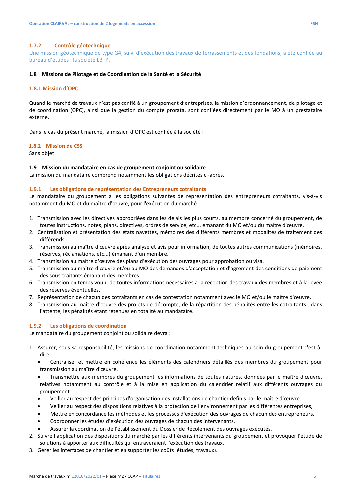#### **1.7.2 Contrôle géotechnique**

Une mission géotechnique de type G4, suivi d'exécution des travaux de terrassements et des fondations, a été confiée au bureau d'études : la société LBTP.

#### **1.8 Missions de Pilotage et de Coordination de la Santé et la Sécurité**

#### **1.8.1 Mission d'OPC**

Quand le marché de travaux n'est pas confié à un groupement d'entreprises, la mission d'ordonnancement, de pilotage et de coordination (OPC), ainsi que la gestion du compte prorata, sont confiées directement par le MO à un prestataire externe.

Dans le cas du présent marché, la mission d'OPC est confiée à la société :

#### **1.8.2 Mission de CSS**

Sans objet

#### **1.9 Mission du mandataire en cas de groupement conjoint ou solidaire**

La mission du mandataire comprend notamment les obligations décrites ci-après.

#### **1.9.1 Les obligations de représentation des Entrepreneurs cotraitants**

Le mandataire du groupement a les obligations suivantes de représentation des entrepreneurs cotraitants, vis-à-vis notamment du MO et du maître d'œuvre, pour l'exécution du marché :

- 1. Transmission avec les directives appropriées dans les délais les plus courts, au membre concerné du groupement, de toutes instructions, notes, plans, directives, ordres de service, etc... émanant du MO et/ou du maître d'œuvre.
- 2. Centralisation et présentation des états navettes, mémoires des différents membres et modalités de traitement des différends.
- 3. Transmission au maître d'œuvre après analyse et avis pour information, de toutes autres communications (mémoires, réserves, réclamations, etc...) émanant d'un membre.
- 4. Transmission au maître d'œuvre des plans d'exécution des ouvrages pour approbation ou visa.
- 5. Transmission au maître d'œuvre et/ou au MO des demandes d'acceptation et d'agrément des conditions de paiement des sous-traitants émanant des membres.
- 6. Transmission en temps voulu de toutes informations nécessaires à la réception des travaux des membres et à la levée des réserves éventuelles.
- 7. Représentation de chacun des cotraitants en cas de contestation notamment avec le MO et/ou le maître d'œuvre.
- 8. Transmission au maître d'œuvre des projets de décompte, de la répartition des pénalités entre les cotraitants ; dans l'attente, les pénalités étant retenues en totalité au mandataire.

#### **1.9.2 Les obligations de coordination**

Le mandataire du groupement conjoint ou solidaire devra :

- 1. Assurer, sous sa responsabilité, les missions de coordination notamment techniques au sein du groupement c'est-àdire :
	- Centraliser et mettre en cohérence les éléments des calendriers détaillés des membres du groupement pour transmission au maître d'œuvre.
	- Transmettre aux membres du groupement les informations de toutes natures, données par le maître d'œuvre, relatives notamment au contrôle et à la mise en application du calendrier relatif aux différents ouvrages du groupement.
	- Veiller au respect des principes d'organisation des installations de chantier définis par le maître d'œuvre.
	- Veiller au respect des dispositions relatives à la protection de l'environnement par les différentes entreprises,
	- Mettre en concordance les méthodes et les processus d'exécution des ouvrages de chacun des entrepreneurs.
	- Coordonner les études d'exécution des ouvrages de chacun des intervenants.
	- Assurer la coordination de l'établissement du Dossier de Récolement des ouvrages exécutés.
- 2. Suivre l'application des dispositions du marché par les différents intervenants du groupement et provoquer l'étude de solutions à apporter aux difficultés qui entraveraient l'exécution des travaux.
- 3. Gérer les interfaces de chantier et en supporter les coûts (études, travaux).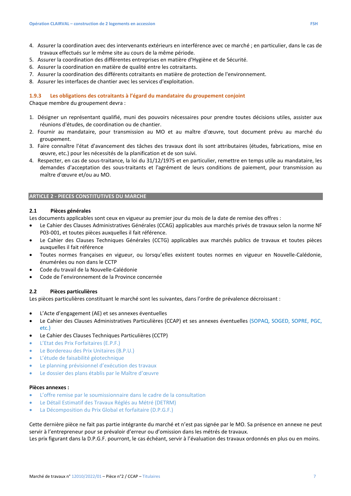- 4. Assurer la coordination avec des intervenants extérieurs en interférence avec ce marché ; en particulier, dans le cas de travaux effectués sur le même site au cours de la même période.
- 5. Assurer la coordination des différentes entreprises en matière d'Hygiène et de Sécurité.
- 6. Assurer la coordination en matière de qualité entre les cotraitants.
- 7. Assurer la coordination des différents cotraitants en matière de protection de l'environnement.
- 8. Assurer les interfaces de chantier avec les services d'exploitation.

#### **1.9.3 Les obligations des cotraitants à l'égard du mandataire du groupement conjoint**

Chaque membre du groupement devra :

- 1. Désigner un représentant qualifié, muni des pouvoirs nécessaires pour prendre toutes décisions utiles, assister aux réunions d'études, de coordination ou de chantier.
- 2. Fournir au mandataire, pour transmission au MO et au maître d'œuvre, tout document prévu au marché du groupement.
- 3. Faire connaître l'état d'avancement des tâches des travaux dont ils sont attributaires (études, fabrications, mise en œuvre, etc.) pour les nécessités de la planification et de son suivi.
- 4. Respecter, en cas de sous-traitance, la loi du 31/12/1975 et en particulier, remettre en temps utile au mandataire, les demandes d'acceptation des sous-traitants et l'agrément de leurs conditions de paiement, pour transmission au maître d'œuvre et/ou au MO.

#### **ARTICLE 2 - PIECES CONSTITUTIVES DU MARCHE**

#### **2.1 Pièces générales**

Les documents applicables sont ceux en vigueur au premier jour du mois de la date de remise des offres :

- Le Cahier des Clauses Administratives Générales (CCAG) applicables aux marchés privés de travaux selon la norme NF P03-001, et toutes pièces auxquelles il fait référence.
- Le Cahier des Clauses Techniques Générales (CCTG) applicables aux marchés publics de travaux et toutes pièces auxquelles il fait référence
- Toutes normes françaises en vigueur, ou lorsqu'elles existent toutes normes en vigueur en Nouvelle-Calédonie, énumérées ou non dans le CCTP
- Code du travail de la Nouvelle-Calédonie
- Code de l'environnement de la Province concernée

#### **2.2 Pièces particulières**

Les pièces particulières constituant le marché sont les suivantes, dans l'ordre de prévalence décroissant :

- L'Acte d'engagement (AE) et ses annexes éventuelles
- Le Cahier des Clauses Administratives Particulières (CCAP) et ses annexes éventuelles (SOPAQ, SOGED, SOPRE, PGC, etc.)
- Le Cahier des Clauses Techniques Particulières (CCTP)
- L'Etat des Prix Forfaitaires (E.P.F.)
- Le Bordereau des Prix Unitaires (B.P.U.)
- L'étude de faisabilité géotechnique
- Le planning prévisionnel d'exécution des travaux
- Le dossier des plans établis par le Maître d'œuvre

#### **Pièces annexes :**

- L'offre remise par le soumissionnaire dans le cadre de la consultation
- Le Détail Estimatif des Travaux Réglés au Métré (DETRM)
- La Décomposition du Prix Global et forfaitaire (D.P.G.F.)

Cette dernière pièce ne fait pas partie intégrante du marché et n'est pas signée par le MO. Sa présence en annexe ne peut servir à l'entrepreneur pour se prévaloir d'erreur ou d'omission dans les métrés de travaux.

Les prix figurant dans la D.P.G.F. pourront, le cas échéant, servir à l'évaluation des travaux ordonnés en plus ou en moins.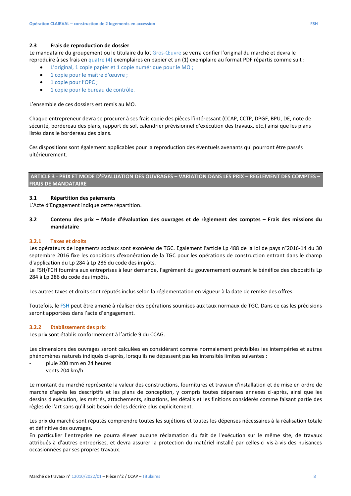#### **2.3 Frais de reproduction de dossier**

Le mandataire du groupement ou le titulaire du lot Gros-Œuvre se verra confier l'original du marché et devra le reproduire à ses frais en quatre (4) exemplaires en papier et un (1) exemplaire au format PDF répartis comme suit :

- L'original, 1 copie papier et 1 copie numérique pour le MO ;
- 1 copie pour le maître d'œuvre ;
- 1 copie pour l'OPC ;
- 1 copie pour le bureau de contrôle.

L'ensemble de ces dossiers est remis au MO.

Chaque entrepreneur devra se procurer à ses frais copie des pièces l'intéressant (CCAP, CCTP, DPGF, BPU, DE, note de sécurité, bordereau des plans, rapport de sol, calendrier prévisionnel d'exécution des travaux, etc.) ainsi que les plans listés dans le bordereau des plans.

Ces dispositions sont également applicables pour la reproduction des éventuels avenants qui pourront être passés ultérieurement.

#### **ARTICLE 3 - PRIX ET MODE D'EVALUATION DES OUVRAGES – VARIATION DANS LES PRIX – REGLEMENT DES COMPTES – FRAIS DE MANDATAIRE**

#### **3.1 Répartition des paiements**

L'Acte d'Engagement indique cette répartition.

**3.2 Contenu des prix – Mode d'évaluation des ouvrages et de règlement des comptes – Frais des missions du mandataire** 

#### **3.2.1 Taxes et droits**

Les opérateurs de logements sociaux sont exonérés de TGC. Egalement l'article Lp 488 de la loi de pays n°2016-14 du 30 septembre 2016 fixe les conditions d'exonération de la TGC pour les opérations de construction entrant dans le champ d'application du Lp 284 à Lp 286 du code des impôts.

Le FSH/FCH fournira aux entreprises à leur demande, l'agrément du gouvernement ouvrant le bénéfice des dispositifs Lp 284 à Lp 286 du code des impôts.

Les autres taxes et droits sont réputés inclus selon la réglementation en vigueur à la date de remise des offres.

Toutefois, le FSH peut être amené à réaliser des opérations soumises aux taux normaux de TGC. Dans ce cas les précisions seront apportées dans l'acte d'engagement.

#### **3.2.2 Etablissement des prix**

Les prix sont établis conformément à l'article 9 du CCAG.

Les dimensions des ouvrages seront calculées en considérant comme normalement prévisibles les intempéries et autres phénomènes naturels indiqués ci-après, lorsqu'ils ne dépassent pas les intensités limites suivantes :

- pluie 200 mm en 24 heures
- vents 204 km/h

Le montant du marché représente la valeur des constructions, fournitures et travaux d'installation et de mise en ordre de marche d'après les descriptifs et les plans de conception, y compris toutes dépenses annexes ci-après, ainsi que les dessins d'exécution, les métrés, attachements, situations, les détails et les finitions considérés comme faisant partie des règles de l'art sans qu'il soit besoin de les décrire plus explicitement.

Les prix du marché sont réputés comprendre toutes les sujétions et toutes les dépenses nécessaires à la réalisation totale et définitive des ouvrages.

En particulier l'entreprise ne pourra élever aucune réclamation du fait de l'exécution sur le même site, de travaux attribués à d'autres entreprises, et devra assurer la protection du matériel installé par celles-ci vis-à-vis des nuisances occasionnées par ses propres travaux.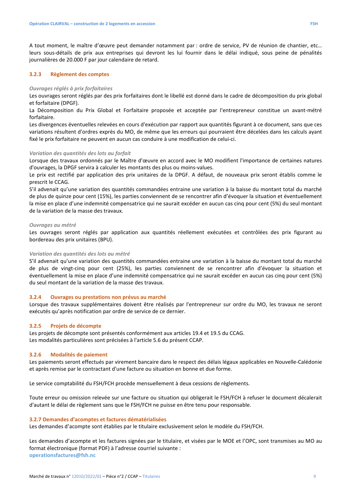A tout moment, le maître d'œuvre peut demander notamment par : ordre de service, PV de réunion de chantier, etc… leurs sous-détails de prix aux entreprises qui devront les lui fournir dans le délai indiqué, sous peine de pénalités journalières de 20.000 F par jour calendaire de retard.

#### **3.2.3 Règlement des comptes**

#### *Ouvrages réglés à prix forfaitaires*

Les ouvrages seront réglés par des prix forfaitaires dont le libellé est donné dans le cadre de décomposition du prix global et forfaitaire (DPGF).

La Décomposition du Prix Global et Forfaitaire proposée et acceptée par l'entrepreneur constitue un avant-métré forfaitaire.

Les divergences éventuelles relevées en cours d'exécution par rapport aux quantités figurant à ce document, sans que ces variations résultent d'ordres exprès du MO, de même que les erreurs qui pourraient être décelées dans les calculs ayant fixé le prix forfaitaire ne peuvent en aucun cas conduire à une modification de celui-ci.

#### *Variation des quantités des lots au forfait*

Lorsque des travaux ordonnés par le Maître d'œuvre en accord avec le MO modifient l'importance de certaines natures d'ouvrages, la DPGF servira à calculer les montants des plus ou moins-values.

Le prix est rectifié par application des prix unitaires de la DPGF. A défaut, de nouveaux prix seront établis comme le prescrit le CCAG.

S'il advenait qu'une variation des quantités commandées entraine une variation à la baisse du montant total du marché de plus de quinze pour cent (15%), les parties conviennent de se rencontrer afin d'évoquer la situation et éventuellement la mise en place d'une indemnité compensatrice qui ne saurait excéder en aucun cas cinq pour cent (5%) du seul montant de la variation de la masse des travaux.

#### *Ouvrages au métré*

Les ouvrages seront réglés par application aux quantités réellement exécutées et contrôlées des prix figurant au bordereau des prix unitaires (BPU).

#### *Variation des quantités des lots au métré*

S'il advenait qu'une variation des quantités commandées entraine une variation à la baisse du montant total du marché de plus de vingt-cinq pour cent (25%), les parties conviennent de se rencontrer afin d'évoquer la situation et éventuellement la mise en place d'une indemnité compensatrice qui ne saurait excéder en aucun cas cinq pour cent (5%) du seul montant de la variation de la masse des travaux.

#### **3.2.4 Ouvrages ou prestations non prévus au marché**

Lorsque des travaux supplémentaires doivent être réalisés par l'entrepreneur sur ordre du MO, les travaux ne seront exécutés qu'après notification par ordre de service de ce dernier.

#### **3.2.5 Projets de décompte**

Les projets de décompte sont présentés conformément aux articles 19.4 et 19.5 du CCAG. Les modalités particulières sont précisées à l'article 5.6 du présent CCAP.

#### **3.2.6 Modalités de paiement**

Les paiements seront effectués par virement bancaire dans le respect des délais légaux applicables en Nouvelle-Calédonie et après remise par le contractant d'une facture ou situation en bonne et due forme.

Le service comptabilité du FSH/FCH procède mensuellement à deux cessions de règlements.

Toute erreur ou omission relevée sur une facture ou situation qui obligerait le FSH/FCH à refuser le document décalerait d'autant le délai de règlement sans que le FSH/FCH ne puisse en être tenu pour responsable.

#### **3.2.7 Demandes d'acomptes et factures dématérialisées**

Les demandes d'acompte sont établies par le titulaire exclusivement selon le modèle du FSH/FCH.

Les demandes d'acompte et les factures signées par le titulaire, et visées par le MOE et l'OPC, sont transmises au MO au format électronique (format PDF) à l'adresse courriel suivante : **operationsfactures@fsh.nc**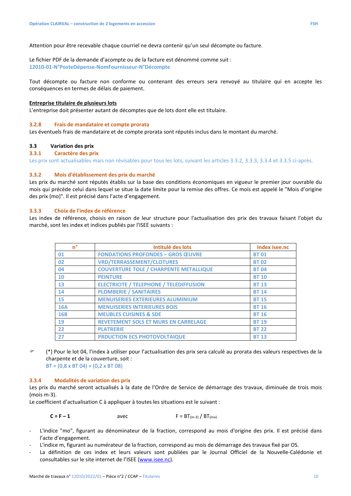Attention pour être recevable chaque courriel ne devra contenir qu'un seul décompte ou facture.

Le fichier PDF de la demande d'acompte ou de la facture est dénommé comme suit : **12010-01-N°PosteDépense-NomFournisseur-N°Décompte** 

Tout décompte ou facture non conforme ou contenant des erreurs sera renvoyé au titulaire qui en accepte les conséquences en termes de délais de paiement.

#### **Entreprise titulaire de plusieurs lots**

L'entreprise doit présenter autant de décomptes que de lots dont elle est titulaire.

#### **3.2.8 Frais de mandataire et compte prorata**

Les éventuels frais de mandataire et de compte prorata sont réputés inclus dans le montant du marché.

#### **3.3 Variation des prix**

#### **3.3.1 Caractère des prix**

Les prix sont actualisables mais non révisables pour tous les lots, suivant les articles 3.3.2, 3.3.3, 3.3.4 et 3.3.5 ci-après.

#### **3.3.2 Mois d'établissement des prix du marché**

Les prix du marché sont réputés établis sur la base des conditions économiques en vigueur le premier jour ouvrable du mois qui précède celui dans lequel se situe la date limite pour la remise des offres. Ce mois est appelé le "Mois d'origine des prix (mo)". Il est précisé dans l'acte d'engagement.

#### **3.3.3 Choix de l'index de référence**

Les index de référence, choisis en raison de leur structure pour l'actualisation des prix des travaux faisant l'objet du marché, sont les index et indices publiés par l'ISEE suivants :

| n°         | Intitulé des lots                              | Index isee.nc |
|------------|------------------------------------------------|---------------|
| 01         | <b>FONDATIONS PROFONDES - GROS ŒUVRE</b>       | <b>BT01</b>   |
| 02         | <b>VRD/TERRASSEMENT/CLOTURES</b>               | <b>BT02</b>   |
| 04         | <b>COUVERTURE TOLE / CHARPENTE METALLIQUE</b>  | <b>BT04</b>   |
| 10         | <b>PEINTURE</b>                                | <b>BT 10</b>  |
| 13         | <b>ELECTRICITE / TELEPHONE / TELEDIFFUSION</b> | <b>BT 13</b>  |
| 14         | <b>PLOMBERIE / SANITAIRES</b>                  | <b>BT 14</b>  |
| 15         | <b>MENUISERIES EXTERIEURES ALUMINIUM</b>       | <b>BT 15</b>  |
| <b>16A</b> | <b>MENUISERIES INTERIEURES BOIS</b>            | <b>BT 16</b>  |
| <b>16B</b> | <b>MEUBLES CUISINES &amp; SDE</b>              | <b>BT 16</b>  |
| 19         | <b>REVETEMENT SOLS ET MURS EN CARRELAGE</b>    | <b>BT 19</b>  |
| 22         | <b>PLATRERIE</b>                               | <b>BT 22</b>  |
| 27         | <b>PRDUCTION ECS PHOTOVOLTAIQUE</b>            | <b>BT 13</b>  |

 (\*) Pour le lot 04, l'index à utiliser pour l'actualisation des prix sera calculé au prorata des valeurs respectives de la charpente et de la couverture, soit :  $BT = (0,8 \times BT 04) + (0,2 \times BT 08)$ 

#### **3.3.4 Modalités de variation des prix**

Les prix du marché seront actualisés à la date de l'Ordre de Service de démarrage des travaux, diminuée de trois mois (mois m-3).

Le coefficient d'actualisation C à appliquer à toutes les situations est le suivant :

 $C = F - 1$  avec  $F = BT_{(m-3)} / BT_{(m0)}$ 

- L'indice "mo", figurant au dénominateur de la fraction, correspond au mois d'origine des prix. Il est précisé dans l'acte d'engagement.
- L'indice m, figurant au numérateur de la fraction, correspond au mois de démarrage des travaux fixé par OS.
- La définition de ces index et leurs valeurs sont publiées par le Journal Officiel de la Nouvelle-Calédonie et consultables sur le site internet de l'ISEE (www.isee.nc).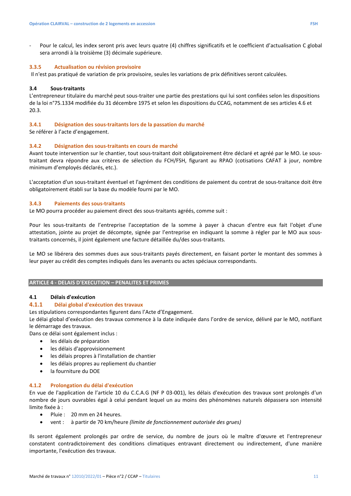Pour le calcul, les index seront pris avec leurs quatre (4) chiffres significatifs et le coefficient d'actualisation C global sera arrondi à la troisième (3) décimale supérieure.

#### **3.3.5 Actualisation ou révision provisoire**

Il n'est pas pratiqué de variation de prix provisoire, seules les variations de prix définitives seront calculées.

#### **3.4 Sous-traitants**

L'entrepreneur titulaire du marché peut sous-traiter une partie des prestations qui lui sont confiées selon les dispositions de la loi n°75.1334 modifiée du 31 décembre 1975 et selon les dispositions du CCAG, notamment de ses articles 4.6 et 20.3.

#### **3.4.1 Désignation des sous-traitants lors de la passation du marché**

Se référer à l'acte d'engagement.

#### **3.4.2 Désignation des sous-traitants en cours de marché**

Avant toute intervention sur le chantier, tout sous-traitant doit obligatoirement être déclaré et agréé par le MO. Le soustraitant devra répondre aux critères de sélection du FCH/FSH, figurant au RPAO (cotisations CAFAT à jour, nombre minimum d'employés déclarés, etc.).

L'acceptation d'un sous-traitant éventuel et l'agrément des conditions de paiement du contrat de sous-traitance doit être obligatoirement établi sur la base du modèle fourni par le MO.

#### **3.4.3 Paiements des sous-traitants**

Le MO pourra procéder au paiement direct des sous-traitants agréés, comme suit :

Pour les sous-traitants de l'entreprise l'acceptation de la somme à payer à chacun d'entre eux fait l'objet d'une attestation, jointe au projet de décompte, signée par l'entreprise en indiquant la somme à régler par le MO aux soustraitants concernés, il joint également une facture détaillée du/des sous-traitants.

Le MO se libérera des sommes dues aux sous-traitants payés directement, en faisant porter le montant des sommes à leur payer au crédit des comptes indiqués dans les avenants ou actes spéciaux correspondants.

#### **ARTICLE 4 - DELAIS D'EXECUTION – PENALITES ET PRIMES**

#### **4.1 Délais d'exécution**

#### **4.1.1 Délai global d'exécution des travaux**

Les stipulations correspondantes figurent dans l'Acte d'Engagement.

Le délai global d'exécution des travaux commence à la date indiquée dans l'ordre de service, délivré par le MO, notifiant le démarrage des travaux.

Dans ce délai sont également inclus :

- les délais de préparation
- les délais d'approvisionnement
- les délais propres à l'installation de chantier
- les délais propres au repliement du chantier
- la fourniture du DOE

#### **4.1.2 Prolongation du délai d'exécution**

En vue de l'application de l'article 10 du C.C.A.G (NF P 03-001), les délais d'exécution des travaux sont prolongés d'un nombre de jours ouvrables égal à celui pendant lequel un au moins des phénomènes naturels dépassera son intensité limite fixée à :

- Pluie : 20 mm en 24 heures.
- vent : à partir de 70 km/heure *(limite de fonctionnement autorisée des grues)*

Ils seront également prolongés par ordre de service, du nombre de jours où le maître d'œuvre et l'entrepreneur constatent contradictoirement des conditions climatiques entravant directement ou indirectement, d'une manière importante, l'exécution des travaux.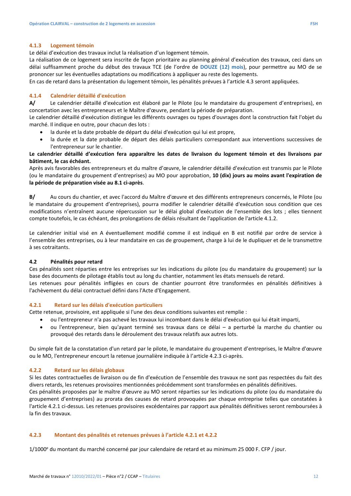#### **4.1.3 Logement témoin**

Le délai d'exécution des travaux inclut la réalisation d'un logement témoin.

La réalisation de ce logement sera inscrite de façon prioritaire au planning général d'exécution des travaux, ceci dans un délai suffisamment proche du début des travaux TCE (de l'ordre de **DOUZE (12) mois**), pour permettre au MO de se prononcer sur les éventuelles adaptations ou modifications à appliquer au reste des logements.

En cas de retard dans la présentation du logement témoin, les pénalités prévues à l'article 4.3 seront appliquées.

#### **4.1.4 Calendrier détaillé d'exécution**

**A/** Le calendrier détaillé d'exécution est élaboré par le Pilote (ou le mandataire du groupement d'entreprises), en concertation avec les entrepreneurs et le Maître d'œuvre, pendant la période de préparation.

Le calendrier détaillé d'exécution distingue les différents ouvrages ou types d'ouvrages dont la construction fait l'objet du marché. Il indique en outre, pour chacun des lots :

- la durée et la date probable de départ du délai d'exécution qui lui est propre,
- la durée et la date probable de départ des délais particuliers correspondant aux interventions successives de l'entrepreneur sur le chantier.

#### **Le calendrier détaillé d'exécution fera apparaître les dates de livraison du logement témoin et des livraisons par bâtiment, le cas échéant.**

Après avis favorables des entrepreneurs et du maître d'œuvre, le calendrier détaillé d'exécution est transmis par le Pilote (ou le mandataire du groupement d'entreprises) au MO pour approbation, **10 (dix) jours au moins avant l'expiration de la période de préparation visée au 8.1 ci-après**.

**B/** Au cours du chantier, et avec l'accord du Maître d'œuvre et des différents entrepreneurs concernés, le Pilote (ou le mandataire du groupement d'entreprises), pourra modifier le calendrier détaillé d'exécution sous condition que ces modifications n'entraînent aucune répercussion sur le délai global d'exécution de l'ensemble des lots ; elles tiennent compte toutefois, le cas échéant, des prolongations de délais résultant de l'application de l'article 4.1.2.

Le calendrier initial visé en A éventuellement modifié comme il est indiqué en B est notifié par ordre de service à l'ensemble des entreprises, ou à leur mandataire en cas de groupement, charge à lui de le dupliquer et de le transmettre à ses cotraitants.

#### **4.2 Pénalités pour retard**

Ces pénalités sont réparties entre les entreprises sur les indications du pilote (ou du mandataire du groupement) sur la base des documents de pilotage établis tout au long du chantier, notamment les états mensuels de retard.

Les retenues pour pénalités infligées en cours de chantier pourront être transformées en pénalités définitives à l'achèvement du délai contractuel défini dans l'Acte d'Engagement.

#### **4.2.1 Retard sur les délais d'exécution particuliers**

Cette retenue, provisoire, est appliquée si l'une des deux conditions suivantes est remplie :

- ou l'entrepreneur n'a pas achevé les travaux lui incombant dans le délai d'exécution qui lui était imparti,
- ou l'entrepreneur, bien qu'ayant terminé ses travaux dans ce délai a perturbé la marche du chantier ou provoqué des retards dans le déroulement des travaux relatifs aux autres lots.

Du simple fait de la constatation d'un retard par le pilote, le mandataire du groupement d'entreprises, le Maître d'œuvre ou le MO, l'entrepreneur encourt la retenue journalière indiquée à l'article 4.2.3 ci-après.

#### **4.2.2 Retard sur les délais globaux**

Si les dates contractuelles de livraison ou de fin d'exécution de l'ensemble des travaux ne sont pas respectées du fait des divers retards, les retenues provisoires mentionnées précédemment sont transformées en pénalités définitives.

Ces pénalités proposées par le maître d'œuvre au MO seront réparties sur les indications du pilote (ou du mandataire du groupement d'entreprises) au prorata des causes de retard provoquées par chaque entreprise telles que constatées à l'article 4.2.1 ci-dessus. Les retenues provisoires excédentaires par rapport aux pénalités définitives seront remboursées à la fin des travaux.

#### **4.2.3 Montant des pénalités et retenues prévues à l'article 4.2.1 et 4.2.2**

1/1000<sup>e</sup> du montant du marché concerné par jour calendaire de retard et au minimum 25 000 F. CFP / jour.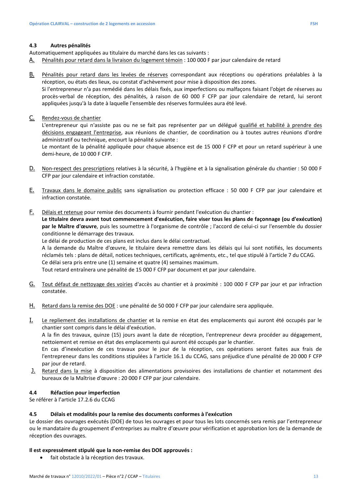#### **4.3 Autres pénalités**

Automatiquement appliquées au titulaire du marché dans les cas suivants :

- A. Pénalités pour retard dans la livraison du logement témoin : 100 000 F par jour calendaire de retard
- B. Pénalités pour retard dans les levées de réserves correspondant aux réceptions ou opérations préalables à la réception, ou états des lieux, ou constat d'achèvement pour mise à disposition des zones.

Si l'entrepreneur n'a pas remédié dans les délais fixés, aux imperfections ou malfaçons faisant l'objet de réserves au procès-verbal de réception, des pénalités, à raison de 60 000 F CFP par jour calendaire de retard, lui seront appliquées jusqu'à la date à laquelle l'ensemble des réserves formulées aura été levé.

C. Rendez-vous de chantier

L'entrepreneur qui n'assiste pas ou ne se fait pas représenter par un délégué qualifié et habilité à prendre des décisions engageant l'entreprise, aux réunions de chantier, de coordination ou à toutes autres réunions d'ordre administratif ou technique, encourt la pénalité suivante :

Le montant de la pénalité appliquée pour chaque absence est de 15 000 F CFP et pour un retard supérieur à une demi-heure, de 10 000 F CFP.

- D. Non-respect des prescriptions relatives à la sécurité, à l'hygiène et à la signalisation générale du chantier : 50 000 F CFP par jour calendaire et infraction constatée.
- E. Travaux dans le domaine public sans signalisation ou protection efficace : 50 000 F CFP par jour calendaire et infraction constatée.
- F. Délais et retenue pour remise des documents à fournir pendant l'exécution du chantier :

**Le titulaire devra avant tout commencement d'exécution, faire viser tous les plans de façonnage (ou d'exécution) par le Maître d'œuvre**, puis les soumettre à l'organisme de contrôle ; l'accord de celui-ci sur l'ensemble du dossier conditionne le démarrage des travaux.

Le délai de production de ces plans est inclus dans le délai contractuel.

A la demande du Maître d'œuvre, le titulaire devra remettre dans les délais qui lui sont notifiés, les documents réclamés tels : plans de détail, notices techniques, certificats, agréments, etc., tel que stipulé à l'article 7 du CCAG. Ce délai sera pris entre une (1) semaine et quatre (4) semaines maximum.

Tout retard entraînera une pénalité de 15 000 F CFP par document et par jour calendaire.

- G. Tout défaut de nettoyage des voiries d'accès au chantier et à proximité : 100 000 F CFP par jour et par infraction constatée.
- H. Retard dans la remise des DOE : une pénalité de 50 000 F CFP par jour calendaire sera appliquée.
- I. Le repliement des installations de chantier et la remise en état des emplacements qui auront été occupés par le chantier sont compris dans le délai d'exécution.

A la fin des travaux, quinze (15) jours avant la date de réception, l'entrepreneur devra procéder au dégagement, nettoiement et remise en état des emplacements qui auront été occupés par le chantier.

En cas d'inexécution de ces travaux pour le jour de la réception, ces opérations seront faites aux frais de l'entrepreneur dans les conditions stipulées à l'article 16.1 du CCAG, sans préjudice d'une pénalité de 20 000 F CFP par jour de retard.

J. Retard dans la mise à disposition des alimentations provisoires des installations de chantier et notamment des bureaux de la Maîtrise d'œuvre : 20 000 F CFP par jour calendaire.

#### **4.4 Réfaction pour imperfection**

Se référer à l'article 17.2.6 du CCAG

#### **4.5 Délais et modalités pour la remise des documents conformes à l'exécution**

Le dossier des ouvrages exécutés (DOE) de tous les ouvrages et pour tous les lots concernés sera remis par l'entrepreneur ou le mandataire du groupement d'entreprises au maître d'œuvre pour vérification et approbation lors de la demande de réception des ouvrages.

#### **Il est expressément stipulé que la non-remise des DOE approuvés :**

• fait obstacle à la réception des travaux.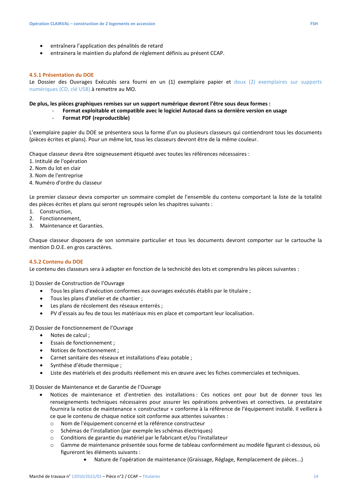- entraînera l'application des pénalités de retard
- entrainera le maintien du plafond de règlement définis au présent CCAP.

#### **4.5.1 Présentation du DOE**

Le Dossier des Ouvrages Exécutés sera fourni en un (1) exemplaire papier et deux (2) exemplaires sur supports numériques (CD, clé USB) à remettre au MO.

#### **De plus, les pièces graphiques remises sur un support numérique devront l'être sous deux formes :**

- **Format exploitable et compatible avec le logiciel Autocad dans sa dernière version en usage** 
	- **Format PDF (reproductible)**

L'exemplaire papier du DOE se présentera sous la forme d'un ou plusieurs classeurs qui contiendront tous les documents (pièces écrites et plans). Pour un même lot, tous les classeurs devront être de la même couleur.

Chaque classeur devra être soigneusement étiqueté avec toutes les références nécessaires :

- 1. Intitulé de l'opération
- 2. Nom du lot en clair
- 3. Nom de l'entreprise
- 4. Numéro d'ordre du classeur

Le premier classeur devra comporter un sommaire complet de l'ensemble du contenu comportant la liste de la totalité des pièces écrites et plans qui seront regroupés selon les chapitres suivants :

- 1. Construction,
- 2. Fonctionnement,
- 3. Maintenance et Garanties.

Chaque classeur disposera de son sommaire particulier et tous les documents devront comporter sur le cartouche la mention D.O.E. en gros caractères.

#### **4.5.2 Contenu du DOE**

Le contenu des classeurs sera à adapter en fonction de la technicité des lots et comprendra les pièces suivantes :

1) Dossier de Construction de l'Ouvrage

- Tous les plans d'exécution conformes aux ouvrages exécutés établis par le titulaire ;
- Tous les plans d'atelier et de chantier ;
- Les plans de récolement des réseaux enterrés ;
- PV d'essais au feu de tous les matériaux mis en place et comportant leur localisation.

2) Dossier de Fonctionnement de l'Ouvrage

- Notes de calcul ;
- Essais de fonctionnement ;
- Notices de fonctionnement ;
- Carnet sanitaire des réseaux et installations d'eau potable ;
- Synthèse d'étude thermique :
- Liste des matériels et des produits réellement mis en œuvre avec les fiches commerciales et techniques.

3) Dossier de Maintenance et de Garantie de l'Ouvrage

- Notices de maintenance et d'entretien des installations : Ces notices ont pour but de donner tous les renseignements techniques nécessaires pour assurer les opérations préventives et correctives. Le prestataire fournira la notice de maintenance « constructeur » conforme à la référence de l'équipement installé. Il veillera à ce que le contenu de chaque notice soit conforme aux attentes suivantes :
	- o Nom de l'équipement concerné et la référence constructeur
	- o Schémas de l'installation (par exemple les schémas électriques)
	- o Conditions de garantie du matériel par le fabricant et/ou l'installateur
	- o Gamme de maintenance présentée sous forme de tableau conformément au modèle figurant ci-dessous, où figureront les éléments suivants :
		- Nature de l'opération de maintenance (Graissage, Réglage, Remplacement de pièces...)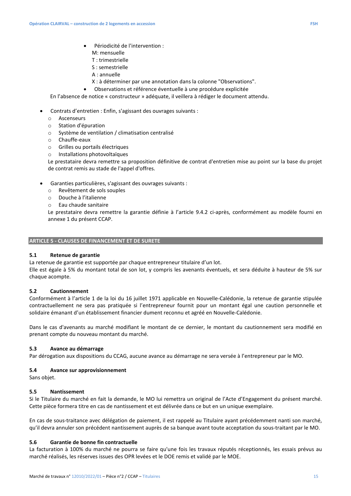- Périodicité de l'intervention :
	- M: mensuelle
	- T : trimestrielle
	- S : semestrielle
	- A : annuelle
- X : à déterminer par une annotation dans la colonne "Observations".
- Observations et référence éventuelle à une procédure explicitée

En l'absence de notice « constructeur » adéquate, il veillera à rédiger le document attendu.

- Contrats d'entretien : Enfin, s'agissant des ouvrages suivants :
	- o Ascenseurs
	- o Station d'épuration
	- o Système de ventilation / climatisation centralisé
	- o Chauffe-eaux
	- o Grilles ou portails électriques
	- o Installations photovoltaïques

Le prestataire devra remettre sa proposition définitive de contrat d'entretien mise au point sur la base du projet de contrat remis au stade de l'appel d'offres.

- Garanties particulières, s'agissant des ouvrages suivants :
	- o Revêtement de sols souples
	- o Douche à l'italienne
	- o Eau chaude sanitaire

Le prestataire devra remettre la garantie définie à l'article 9.4.2 ci-après, conformément au modèle fourni en annexe 1 du présent CCAP.

#### **ARTICLE 5 - CLAUSES DE FINANCEMENT ET DE SURETE**

## **5.1 Retenue de garantie**

La retenue de garantie est supportée par chaque entrepreneur titulaire d'un lot.

Elle est égale à 5% du montant total de son lot, y compris les avenants éventuels, et sera déduite à hauteur de 5% sur chaque acompte.

#### **5.2 Cautionnement**

Conformément à l'article 1 de la loi du 16 juillet 1971 applicable en Nouvelle-Calédonie, la retenue de garantie stipulée contractuellement ne sera pas pratiquée si l'entrepreneur fournit pour un montant égal une caution personnelle et solidaire émanant d'un établissement financier dument reconnu et agréé en Nouvelle-Calédonie.

Dans le cas d'avenants au marché modifiant le montant de ce dernier, le montant du cautionnement sera modifié en prenant compte du nouveau montant du marché.

#### **5.3 Avance au démarrage**

Par dérogation aux dispositions du CCAG, aucune avance au démarrage ne sera versée à l'entrepreneur par le MO.

#### **5.4 Avance sur approvisionnement**

Sans objet.

#### **5.5 Nantissement**

Si le Titulaire du marché en fait la demande, le MO lui remettra un original de l'Acte d'Engagement du présent marché. Cette pièce formera titre en cas de nantissement et est délivrée dans ce but en un unique exemplaire.

En cas de sous-traitance avec délégation de paiement, il est rappelé au Titulaire ayant précédemment nanti son marché, qu'il devra annuler son précédent nantissement auprès de sa banque avant toute acceptation du sous-traitant par le MO.

## **5.6 Garantie de bonne fin contractuelle**

La facturation à 100% du marché ne pourra se faire qu'une fois les travaux réputés réceptionnés, les essais prévus au marché réalisés, les réserves issues des OPR levées et le DOE remis et validé par le MOE.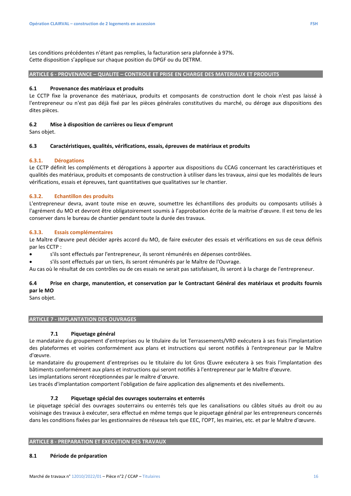Les conditions précédentes n'étant pas remplies, la facturation sera plafonnée à 97%. Cette disposition s'applique sur chaque position du DPGF ou du DETRM.

#### **ARTICLE 6 - PROVENANCE – QUALITE – CONTROLE ET PRISE EN CHARGE DES MATERIAUX ET PRODUITS**

#### **6.1 Provenance des matériaux et produits**

Le CCTP fixe la provenance des matériaux, produits et composants de construction dont le choix n'est pas laissé à l'entrepreneur ou n'est pas déjà fixé par les pièces générales constitutives du marché, ou déroge aux dispositions des dites pièces.

#### **6.2 Mise à disposition de carrières ou lieux d'emprunt**

Sans objet.

## **6.3 Caractéristiques, qualités, vérifications, essais, épreuves de matériaux et produits**

#### **6.3.1. Dérogations**

Le CCTP définit les compléments et dérogations à apporter aux dispositions du CCAG concernant les caractéristiques et qualités des matériaux, produits et composants de construction à utiliser dans les travaux, ainsi que les modalités de leurs vérifications, essais et épreuves, tant quantitatives que qualitatives sur le chantier.

#### **6.3.2. Echantillon des produits**

L'entrepreneur devra, avant toute mise en œuvre, soumettre les échantillons des produits ou composants utilisés à l'agrément du MO et devront être obligatoirement soumis à l'approbation écrite de la maitrise d'œuvre. Il est tenu de les conserver dans le bureau de chantier pendant toute la durée des travaux.

#### **6.3.3. Essais complémentaires**

Le Maître d'œuvre peut décider après accord du MO, de faire exécuter des essais et vérifications en sus de ceux définis par les CCTP :

- s'ils sont effectués par l'entrepreneur, ils seront rémunérés en dépenses contrôlées.
- s'ils sont effectués par un tiers, ils seront rémunérés par le Maître de l'Ouvrage.

Au cas où le résultat de ces contrôles ou de ces essais ne serait pas satisfaisant, ils seront à la charge de l'entrepreneur.

## **6.4 Prise en charge, manutention, et conservation par le Contractant Général des matériaux et produits fournis par le MO**

Sans objet.

#### **ARTICLE 7 - IMPLANTATION DES OUVRAGES**

#### **7.1 Piquetage général**

Le mandataire du groupement d'entreprises ou le titulaire du lot Terrassements/VRD exécutera à ses frais l'implantation des plateformes et voiries conformément aux plans et instructions qui seront notifiés à l'entrepreneur par le Maître d'œuvre.

Le mandataire du groupement d'entreprises ou le titulaire du lot Gros Œuvre exécutera à ses frais l'implantation des bâtiments conformément aux plans et instructions qui seront notifiés à l'entrepreneur par le Maître d'œuvre.

Les implantations seront réceptionnées par le maître d'œuvre.

Les tracés d'implantation comportent l'obligation de faire application des alignements et des nivellements.

#### **7.2 Piquetage spécial des ouvrages souterrains et enterrés**

Le piquetage spécial des ouvrages souterrains ou enterrés tels que les canalisations ou câbles situés au droit ou au voisinage des travaux à exécuter, sera effectué en même temps que le piquetage général par les entrepreneurs concernés dans les conditions fixées par les gestionnaires de réseaux tels que EEC, l'OPT, les mairies, etc. et par le Maître d'œuvre.

#### **ARTICLE 8 - PREPARATION ET EXECUTION DES TRAVAUX**

#### **8.1 Période de préparation**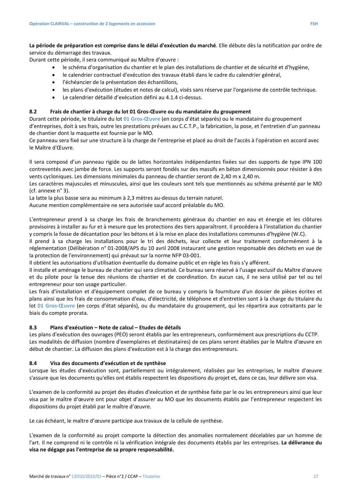**La période de préparation est comprise dans le délai d'exécution du marché**. Elle débute dès la notification par ordre de service du démarrage des travaux.

Durant cette période, il sera communiqué au Maître d'œuvre :

- le schéma d'organisation du chantier et le plan des installations de chantier et de sécurité et d'hygiène,
- le calendrier contractuel d'exécution des travaux établi dans le cadre du calendrier général,
- l'échéancier de la présentation des échantillons,
- les plans d'exécution (études et notes de calcul), visés sans réserve par l'organisme de contrôle technique.
- Le calendrier détaillé d'exécution défini au 4.1.4 ci-dessus.

## **8.2 Frais de chantier à charge du lot 01 Gros-Œuvre ou du mandataire du groupement**

Durant cette période, le titulaire du lot **01 Gros-Œuvre** (en corps d'état séparés) ou le mandataire du groupement d'entreprises, doit à ses frais, outre les prestations prévues au C.C.T.P., la fabrication, la pose, et l'entretien d'un panneau de chantier dont la maquette est fournie par le MO.

Ce panneau sera fixé sur une structure à la charge de l'entreprise et placé au droit de l'accès à l'opération en accord avec le Maître d'Œuvre.

Il sera composé d'un panneau rigide ou de lattes horizontales indépendantes fixées sur des supports de type IPN 100 contreventés avec jambe de force. Les supports seront fondés sur des massifs en béton dimensionnés pour résister à des vents cycloniques. Les dimensions minimales du panneau de chantier seront de 2,40 m x 2,40 m.

Les caractères majuscules et minuscules, ainsi que les couleurs sont tels que mentionnés au schéma présenté par le MO (cf. annexe n° 3).

La latte la plus basse sera au minimum à 2,3 mètres au-dessus du terrain naturel.

Aucune mention complémentaire ne sera autorisée sauf accord préalable du MO.

L'entrepreneur prend à sa charge les frais de branchements généraux du chantier en eau et énergie et les clôtures provisoires à installer au fur et à mesure que les protections des tiers apparaîtront. Il procédera à l'installation du chantier y compris la fosse de décantation pour les bétons et à la mise en place des installations communes d'hygiène (W.C).

Il prend à sa charge les installations pour le tri des déchets, leur collecte et leur traitement conformément à la réglementation (Délibération n° 01-2008/APS du 10 avril 2008 instaurant une gestion responsable des déchets en vue de la protection de l'environnement) qui prévaut sur la norme NFP 03-001.

Il obtient les autorisations d'utilisation éventuelle du domaine public et en règle les frais s'y afférent.

Il installe et aménage le bureau de chantier qui sera climatisé. Ce bureau sera réservé à l'usage exclusif du Maître d'œuvre et du pilote pour la tenue des réunions de chantier et de coordination. En aucun cas, il ne sera utilisé par tel ou tel entrepreneur pour son usage particulier.

Les frais d'installation et d'équipement complet de ce bureau y compris la fourniture d'un dossier de pièces écrites et plans ainsi que les frais de consommation d'eau, d'électricité, de téléphone et d'entretien sont à la charge du titulaire du lot **01 Gros-Œuvre** (en corps d'état séparés), ou du mandataire du groupement, qui les répartira aux cotraitants par le biais du compte prorata.

#### **8.3 Plans d'exécution – Note de calcul – Etudes de détails**

Les plans d'exécution des ouvrages (PEO) seront établis par les entrepreneurs, conformément aux prescriptions du CCTP. Les modalités de diffusion (nombre d'exemplaires et destinataires) de ces plans seront établies par le Maître d'œuvre en début de chantier. La diffusion des plans d'exécution est à la charge des entrepreneurs.

#### **8.4 Visa des documents d'exécution et de synthèse**

Lorsque les études d'exécution sont, partiellement ou intégralement, réalisées par les entreprises, le maître d'œuvre s'assure que les documents qu'elles ont établis respectent les dispositions du projet et, dans ce cas, leur délivre son visa.

L'examen de la conformité au projet des études d'exécution et de synthèse faite par le ou les entrepreneurs ainsi que leur visa par le maître d'œuvre ont pour objet d'assurer au MO que les documents établis par l'entrepreneur respectent les dispositions du projet établi par le maître d'œuvre.

Le cas échéant, le maître d'œuvre participe aux travaux de la cellule de synthèse.

L'examen de la conformité au projet comporte la détection des anomalies normalement décelables par un homme de l'art. Il ne comprend ni le contrôle ni la vérification intégrale des documents établis par les entreprises. **La délivrance du visa ne dégage pas l'entreprise de sa propre responsabilité.**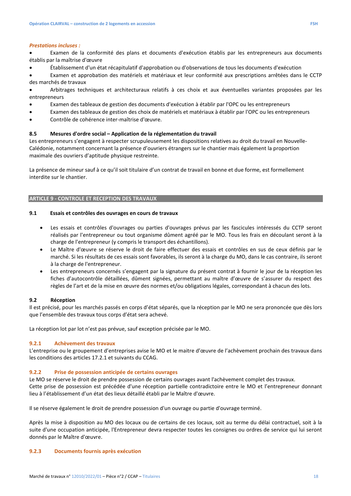#### *Prestations incluses :*

• Examen de la conformité des plans et documents d'exécution établis par les entrepreneurs aux documents établis par la maîtrise d'œuvre

• Établissement d'un état récapitulatif d'approbation ou d'observations de tous les documents d'exécution

• Examen et approbation des matériels et matériaux et leur conformité aux prescriptions arrêtées dans le CCTP des marchés de travaux

• Arbitrages techniques et architecturaux relatifs à ces choix et aux éventuelles variantes proposées par les entrepreneurs

- Examen des tableaux de gestion des documents d'exécution à établir par l'OPC ou les entrepreneurs
- Examen des tableaux de gestion des choix de matériels et matériaux à établir par l'OPC ou les entrepreneurs
- Contrôle de cohérence inter-maîtrise d'œuvre.

#### **8.5 Mesures d'ordre social – Application de la réglementation du travail**

Les entrepreneurs s'engagent à respecter scrupuleusement les dispositions relatives au droit du travail en Nouvelle-Calédonie, notamment concernant la présence d'ouvriers étrangers sur le chantier mais également la proportion maximale des ouvriers d'aptitude physique restreinte.

La présence de mineur sauf à ce qu'il soit titulaire d'un contrat de travail en bonne et due forme, est formellement interdite sur le chantier.

#### **ARTICLE 9 - CONTROLE ET RECEPTION DES TRAVAUX**

#### **9.1 Essais et contrôles des ouvrages en cours de travaux**

- Les essais et contrôles d'ouvrages ou parties d'ouvrages prévus par les fascicules intéressés du CCTP seront réalisés par l'entrepreneur ou tout organisme dûment agréé par le MO. Tous les frais en découlant seront à la charge de l'entrepreneur (y compris le transport des échantillons).
- Le Maître d'œuvre se réserve le droit de faire effectuer des essais et contrôles en sus de ceux définis par le marché. Si les résultats de ces essais sont favorables, ils seront à la charge du MO, dans le cas contraire, ils seront à la charge de l'entrepreneur.
- Les entrepreneurs concernés s'engagent par la signature du présent contrat à fournir le jour de la réception les fiches d'autocontrôle détaillées, dûment signées, permettant au maître d'œuvre de s'assurer du respect des règles de l'art et de la mise en œuvre des normes et/ou obligations légales, correspondant à chacun des lots.

#### **9.2 Réception**

Il est précisé, pour les marchés passés en corps d'état séparés, que la réception par le MO ne sera prononcée que dès lors que l'ensemble des travaux tous corps d'état sera achevé.

La réception lot par lot n'est pas prévue, sauf exception précisée par le MO.

#### **9.2.1 Achèvement des travaux**

L'entreprise ou le groupement d'entreprises avise le MO et le maitre d'œuvre de l'achèvement prochain des travaux dans les conditions des articles 17.2.1 et suivants du CCAG.

#### **9.2.2 Prise de possession anticipée de certains ouvrages**

Le MO se réserve le droit de prendre possession de certains ouvrages avant l'achèvement complet des travaux. Cette prise de possession est précédée d'une réception partielle contradictoire entre le MO et l'entrepreneur donnant lieu à l'établissement d'un état des lieux détaillé établi par le Maître d'œuvre.

Il se réserve également le droit de prendre possession d'un ouvrage ou partie d'ouvrage terminé.

Après la mise à disposition au MO des locaux ou de certains de ces locaux, soit au terme du délai contractuel, soit à la suite d'une occupation anticipée, l'Entrepreneur devra respecter toutes les consignes ou ordres de service qui lui seront donnés par le Maître d'œuvre.

#### **9.2.3 Documents fournis après exécution**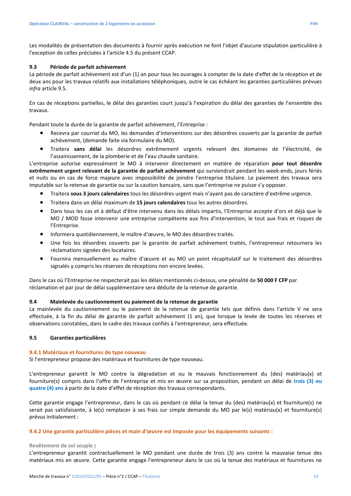Les modalités de présentation des documents à fournir après exécution ne font l'objet d'aucune stipulation particulière à l'exception de celles précisées à l'article 4.5 du présent CCAP.

#### **9.3 Période de parfait achèvement**

La période de parfait achèvement est d'un (1) an pour tous les ouvrages à compter de la date d'effet de la réception et de deux ans pour les travaux relatifs aux installations téléphoniques, outre le cas échéant les garanties particulières prévues *infra* article 9.5.

En cas de réceptions partielles, le délai des garanties court jusqu'à l'expiration du délai des garanties de l'ensemble des travaux.

Pendant toute la durée de la garantie de parfait achèvement, l'Entreprise :

- Recevra par courriel du MO, les demandes d'interventions sur des désordres couverts par la garantie de parfait achèvement, (demande faite via formulaire du MO).
- Traitera **sans délai** les désordres extrêmement urgents relevant des domaines de l'électricité, de l'assainissement, de la plomberie et de l'eau chaude sanitaire.

L'entreprise autorise expressément le MO à intervenir directement en matière de réparation **pour tout désordre extrêmement urgent relevant de la garantie de parfait achèvement** qui surviendrait pendant les week-ends, jours fériés et nuits ou en cas de force majeure avec impossibilité de joindre l'entreprise titulaire. Le paiement des travaux sera imputable sur la retenue de garantie ou sur la caution bancaire, sans que l'entreprise ne puisse s'y opposer.

- Traitera **sous 3 jours calendaires** tous les désordres urgent mais n'ayant pas de caractère d'extrême urgence.
- Traitera dans un délai maximum de **15 jours calendaires** tous les autres désordres.
- Dans tous les cas et à défaut d'être intervenu dans les délais impartis, l'Entreprise accepte d'ors et déjà que le MO / MOD fasse intervenir une entreprise compétente aux fins d'intervention, le tout aux frais et risques de l'Entreprise.
- Informera quotidiennement, le maître d'œuvre, le MO des désordres traités.
- Une fois les désordres couverts par la garantie de parfait achèvement traités, l'entrepreneur retournera les réclamations signées des locataires.
- Fournira mensuellement au maître d'œuvre et au MO un point récapitulatif sur le traitement des désordres signalés y compris les réserves de réceptions non encore levées.

Dans le cas où l'Entreprise ne respecterait pas les délais mentionnés ci-dessus, une pénalité de **50 000 F CFP** par réclamation et par jour de délai supplémentaire sera déduite de la retenue de garantie.

#### **9.4 Mainlevée du cautionnement ou paiement de la retenue de garantie**

La mainlevée du cautionnement ou le paiement de la retenue de garantie tels que définis dans l'article V ne sera effectuée, à la fin du délai de garantie de parfait achèvement (1 an), que lorsque la levée de toutes les réserves et observations constatées, dans le cadre des travaux confiés à l'entrepreneur, sera effectuée.

## **9.5 Garanties particulières**

#### **9.4.1 Matériaux et fournitures de type nouveau**

Si l'entrepreneur propose des matériaux et fournitures de type nouveau.

L'entrepreneur garantit le MO contre la dégradation et ou le mauvais fonctionnement du (des) matériau(x) et fourniture(s) compris dans l'offre de l'entreprise et mis en œuvre sur sa proposition, pendant un délai de **trois (3) ou quatre (4) ans** à partir de la date d'effet de réception des travaux correspondants.

Cette garantie engage l'entrepreneur, dans le cas où pendant ce délai la tenue du (des) matériau(x) et fourniture(s) ne serait pas satisfaisante, à le(s) remplacer à ses frais sur simple demande du MO par le(s) matériau(x) et fourniture(s) prévus initialement :

#### **9.4.2 Une garantie particulière pièces et main d'œuvre est imposée pour les équipements suivants :**

#### **Revêtement de sol souple :**

L'entrepreneur garantit contractuellement le MO pendant une durée de trois (3) ans contre la mauvaise tenue des matériaux mis en œuvre. Cette garantie engage l'entrepreneur dans le cas où la tenue des matériaux et fournitures ne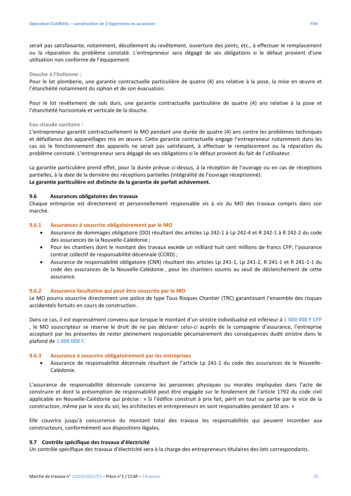serait pas satisfaisante, notamment, décollement du revêtement, ouverture des joints, etc., à effectuer le remplacement ou la réparation du problème constaté. L'entrepreneur sera dégagé de ses obligations si le défaut provient d'une utilisation non conforme de l'équipement.

#### **Douche à l'Italienne :**

Pour le lot plomberie, une garantie contractuelle particulière de quatre (4) ans relative à la pose, la mise en œuvre et l'étanchéité notamment du siphon et de son évacuation.

Pour le lot revêtement de sols durs, une garantie contractuelle particulière de quatre (4) ans relative à la pose et l'étanchéité horizontale et verticale de la douche.

#### **Eau chaude sanitaire :**

L'entrepreneur garantit contractuellement le MO pendant une durée de quatre (4) ans contre les problèmes techniques et défaillance des appareillages mis en œuvre. Cette garantie contractuelle engage l'entrepreneur notamment dans les cas où le fonctionnement des appareils ne serait pas satisfaisant, à effectuer le remplacement ou la réparation du problème constaté. L'entrepreneur sera dégagé de ses obligations si le défaut provient du fait de l'utilisateur.

La garantie particulière prend effet, pour la durée prévue ci-dessus, à la réception de l'ouvrage ou en cas de réceptions partielles, à la date de la dernière des réceptions partielles (intégralité de l'ouvrage réceptionné). **La garantie particulière est distincte de la garantie de parfait achèvement.** 

#### **9.6 Assurances obligatoires des travaux**

Chaque entreprise est directement et personnellement responsable vis à vis du MO des travaux compris dans son marché.

#### **9.6.1 Assurances à souscrire obligatoirement par le MO**

- Assurance de dommages obligatoire (DO) résultant des articles Lp 242-1 à Lp 242-4 et R 242-1 à R 242-2 du code des assurances de la Nouvelle-Calédonie ;
- Pour les chantiers dont le montant des travaux excède un milliard huit cent millions de francs CFP, l'assurance contrat collectif de responsabilité décennale (CCRD) ;
- Assurance de responsabilité obligatoire (CNR) résultant des articles Lp 241-1, Lp 241-2, R 241-1 et R 241-1-1 du code des assurances de la Nouvelle-Calédonie , pour les chantiers soumis au seuil de déclenchement de cette assurance.

#### **9.6.2 Assurance facultative qui peut être souscrite par le MO**

Le MO pourra souscrire directement une police de type Tous Risques Chantier (TRC) garantissant l'ensemble des risques accidentels fortuits en cours de construction.

Dans ce cas, il est expressément convenu que lorsque le montant d'un sinistre individualisé est inférieur à **1 000 000 F CFP**  , le MO souscripteur se réserve le droit de ne pas déclarer celui-ci auprès de la compagnie d'assurance, l'entreprise acceptant par les présentes de rester pleinement responsable pécuniairement des conséquences dudit sinistre dans le plafond de **1 000 000 F.**

#### **9.6.3 Assurance à souscrire obligatoirement par les entreprises**

• Assurance de responsabilité décennale résultant de l'article Lp 241-1 du code des assurances de la Nouvelle-Calédonie.

L'assurance de responsabilité décennale concerne les personnes physiques ou morales impliquées dans l'acte de construire et dont la présomption de responsabilité peut être engagée sur le fondement de l'article 1792 du code civil applicable en Nouvelle-Calédonie qui précise : « Si l'édifice construit à prix fait, périt en tout ou partie par le vice de la construction, même par le vice du sol, les architectes et entrepreneurs en sont responsables pendant 10 ans. »

Elle couvrira jusqu'à concurrence du montant total des travaux les responsabilités qui peuvent incomber aux constructeurs, conformément aux dispositions légales.

#### **9.7 Contrôle spécifique des travaux d'électricité**

Un contrôle spécifique des travaux d'électricité sera à la charge des entrepreneurs titulaires des lots correspondants.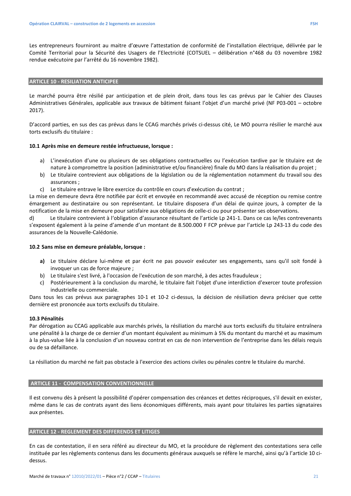Les entrepreneurs fourniront au maitre d'œuvre l'attestation de conformité de l'installation électrique, délivrée par le Comité Territorial pour la Sécurité des Usagers de l'Electricité (COTSUEL – délibération n°468 du 03 novembre 1982 rendue exécutoire par l'arrêté du 16 novembre 1982).

#### **ARTICLE 10 - RESILIATION ANTICIPEE**

Le marché pourra être résilié par anticipation et de plein droit, dans tous les cas prévus par le Cahier des Clauses Administratives Générales, applicable aux travaux de bâtiment faisant l'objet d'un marché privé (NF P03-001 – octobre 2017).

D'accord parties, en sus des cas prévus dans le CCAG marchés privés ci-dessus cité, Le MO pourra résilier le marché aux torts exclusifs du titulaire :

#### **10.1 Après mise en demeure restée infructueuse, lorsque :**

- a) L'inexécution d'une ou plusieurs de ses obligations contractuelles ou l'exécution tardive par le titulaire est de nature à compromettre la position (administrative et/ou financière) finale du MO dans la réalisation du projet ;
- b) Le titulaire contrevient aux obligations de la législation ou de la réglementation notamment du travail sou des assurances ;
- c) Le titulaire entrave le libre exercice du contrôle en cours d'exécution du contrat ;

La mise en demeure devra être notifiée par écrit et envoyée en recommandé avec accusé de réception ou remise contre émargement au destinataire ou son représentant. Le titulaire disposera d'un délai de quinze jours, à compter de la notification de la mise en demeure pour satisfaire aux obligations de celle-ci ou pour présenter ses observations.

d) Le titulaire contrevient à l'obligation d'assurance résultant de l'article Lp 241-1. Dans ce cas le/les contrevenants s'exposent également à la peine d'amende d'un montant de 8.500.000 F FCP prévue par l'article Lp 243-13 du code des assurances de la Nouvelle-Calédonie.

#### **10.2 Sans mise en demeure préalable, lorsque :**

- **a)** Le titulaire déclare lui-même et par écrit ne pas pouvoir exécuter ses engagements, sans qu'il soit fondé à invoquer un cas de force majeure ;
- b) Le titulaire s'est livré, à l'occasion de l'exécution de son marché, à des actes frauduleux ;
- c) Postérieurement à la conclusion du marché, le titulaire fait l'objet d'une interdiction d'exercer toute profession industrielle ou commerciale.

Dans tous les cas prévus aux paragraphes 10-1 et 10-2 ci-dessus, la décision de résiliation devra préciser que cette dernière est prononcée aux torts exclusifs du titulaire.

#### **10.3 Pénalités**

Par dérogation au CCAG applicable aux marchés privés, la résiliation du marché aux torts exclusifs du titulaire entraînera une pénalité à la charge de ce dernier d'un montant équivalent au minimum à 5% du montant du marché et au maximum à la plus-value liée à la conclusion d'un nouveau contrat en cas de non intervention de l'entreprise dans les délais requis ou de sa défaillance.

La résiliation du marché ne fait pas obstacle à l'exercice des actions civiles ou pénales contre le titulaire du marché.

#### **ARTICLE 11 - COMPENSATION CONVENTIONNELLE**

Il est convenu dès à présent la possibilité d'opérer compensation des créances et dettes réciproques, s'il devait en exister, même dans le cas de contrats ayant des liens économiques différents, mais ayant pour titulaires les parties signataires aux présentes.

#### **ARTICLE 12 - REGLEMENT DES DIFFERENDS ET LITIGES**

En cas de contestation, il en sera référé au directeur du MO, et la procédure de règlement des contestations sera celle instituée par les règlements contenus dans les documents généraux auxquels se réfère le marché, ainsi qu'à l'article 10 cidessus.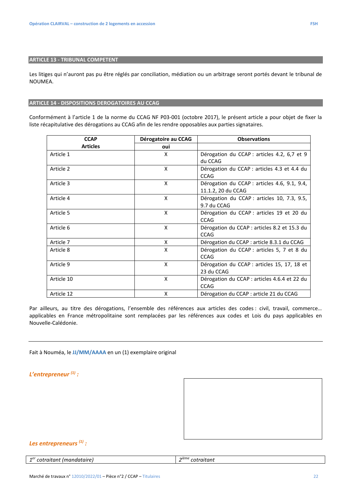Les litiges qui n'auront pas pu être réglés par conciliation, médiation ou un arbitrage seront portés devant le tribunal de NOUMEA.

### **ARTICLE 14 - DISPOSITIONS DEROGATOIRES AU CCAG**

Conformément à l'article 1 de la norme du CCAG NF P03-001 (octobre 2017), le présent article a pour objet de fixer la liste récapitulative des dérogations au CCAG afin de les rendre opposables aux parties signataires.

| <b>CCAP</b>     | Dérogatoire au CCAG | <b>Observations</b>                                                |
|-----------------|---------------------|--------------------------------------------------------------------|
| <b>Articles</b> | oui                 |                                                                    |
| Article 1       | X                   | Dérogation du CCAP : articles 4.2, 6,7 et 9<br>du CCAG             |
| Article 2       | X                   | Dérogation du CCAP : articles 4.3 et 4.4 du<br><b>CCAG</b>         |
| Article 3       | X                   | Dérogation du CCAP : articles 4.6, 9.1, 9.4,<br>11.1.2, 20 du CCAG |
| Article 4       | X                   | Dérogation du CCAP : articles 10, 7.3, 9.5,<br>9.7 du CCAG         |
| Article 5       | X                   | Dérogation du CCAP : articles 19 et 20 du<br><b>CCAG</b>           |
| Article 6       | X                   | Dérogation du CCAP : articles 8.2 et 15.3 du<br><b>CCAG</b>        |
| Article 7       | X                   | Dérogation du CCAP : article 8.3.1 du CCAG                         |
| Article 8       | X                   | Dérogation du CCAP : articles 5, 7 et 8 du<br><b>CCAG</b>          |
| Article 9       | X                   | Dérogation du CCAP : articles 15, 17, 18 et<br>23 du CCAG          |
| Article 10      | X                   | Dérogation du CCAP : articles 4.6.4 et 22 du<br><b>CCAG</b>        |
| Article 12      | X                   | Dérogation du CCAP : article 21 du CCAG                            |

Par ailleurs, au titre des dérogations, l'ensemble des références aux articles des codes : civil, travail, commerce... applicables en France métropolitaine sont remplacées par les références aux codes et Lois du pays applicables en Nouvelle-Calédonie.

Fait à Nouméa, le **JJ/MM/AAAA** en un (1) exemplaire original

*L'entrepreneur (1) :* 



## *Les entrepreneurs (1) :*

| 1 <sup>er</sup> cotraitant (mandataire) | $\mid$ 2 <sup>ième</sup> cotraitant |
|-----------------------------------------|-------------------------------------|
|-----------------------------------------|-------------------------------------|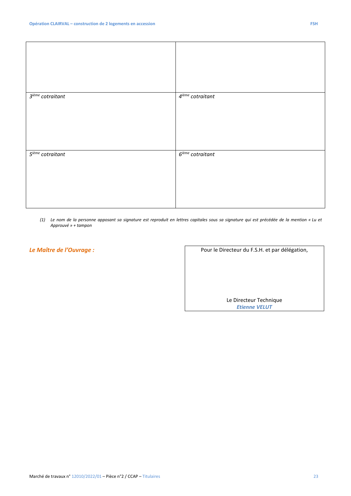*(1) Le nom de la personne apposant sa signature est reproduit en lettres capitales sous sa signature qui est précédée de la mention « Lu et Approuvé » + tampon* 

**Le Maître de l'Ouvrage** : **Eure du F.S.H. et par délégation,** 

Le Directeur Technique *Etienne VELUT*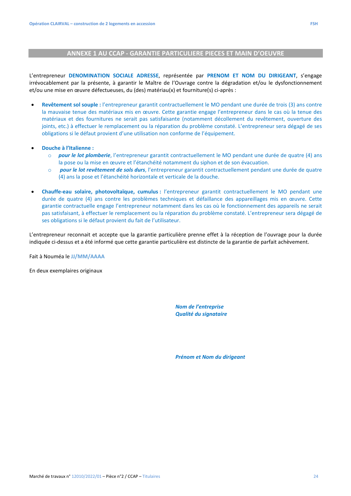## **ANNEXE 1 AU CCAP - GARANTIE PARTICULIERE PIECES ET MAIN D'OEUVRE**

L'entrepreneur **DENOMINATION SOCIALE ADRESSE**, représentée par **PRENOM ET NOM DU DIRIGEANT**, s'engage irrévocablement par la présente, à garantir le Maître de l'Ouvrage contre la dégradation et/ou le dysfonctionnement et/ou une mise en œuvre défectueuses, du (des) matériau(x) et fourniture(s) ci-après :

- **Revêtement sol souple :** l'entrepreneur garantit contractuellement le MO pendant une durée de trois (3) ans contre la mauvaise tenue des matériaux mis en œuvre. Cette garantie engage l'entrepreneur dans le cas où la tenue des matériaux et des fournitures ne serait pas satisfaisante (notamment décollement du revêtement, ouverture des joints, etc.) à effectuer le remplacement ou la réparation du problème constaté. L'entrepreneur sera dégagé de ses obligations si le défaut provient d'une utilisation non conforme de l'équipement.
- **Douche à l'Italienne :** 
	- o *pour le lot plomberie*, l'entrepreneur garantit contractuellement le MO pendant une durée de quatre (4) ans la pose ou la mise en œuvre et l'étanchéité notamment du siphon et de son évacuation.
	- o *pour le lot revêtement de sols durs*, l'entrepreneur garantit contractuellement pendant une durée de quatre (4) ans la pose et l'étanchéité horizontale et verticale de la douche.
- **Chauffe-eau solaire, photovoltaïque, cumulus :** l'entrepreneur garantit contractuellement le MO pendant une durée de quatre (4) ans contre les problèmes techniques et défaillance des appareillages mis en œuvre. Cette garantie contractuelle engage l'entrepreneur notamment dans les cas où le fonctionnement des appareils ne serait pas satisfaisant, à effectuer le remplacement ou la réparation du problème constaté. L'entrepreneur sera dégagé de ses obligations si le défaut provient du fait de l'utilisateur.

L'entrepreneur reconnait et accepte que la garantie particulière prenne effet à la réception de l'ouvrage pour la durée indiquée ci-dessus et a été informé que cette garantie particulière est distincte de la garantie de parfait achèvement.

Fait à Nouméa le **JJ/MM/AAAA** 

En deux exemplaires originaux

*Nom de l'entreprise Qualité du signataire*

*Prénom et Nom du dirigeant*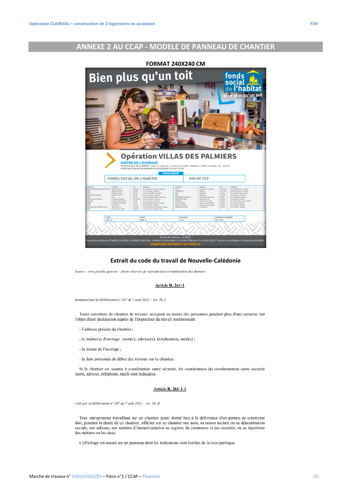## **ANNEXE 2 AU CCAP - MODELE DE PANNEAU DE CHANTIER**



#### **Extrait du code du travail de Nouvelle-Calédonie**

Source : www.juridoc.gouv.nc - droits réservés de reproduction et réutilisation des données

#### **Article R. 261-1**

Remplacé par la délibération nº 207 du 7 août 2012 - Art. 38, I.

Toute ouverture de chantier de travaux occupant au moins dix personnes pendant plus d'une semaine fait l'objet d'une déclaration auprès de l'inspecteur du travail mentionnant :

- l'adresse précise du chantier ;
- le maître(s) d'ouvrage : nom(s), adresse(s), téléphone(s), mail(s) ;
- la nature de l'ouvrage;
- la date présumée de début des travaux sur le chantier.

Si le chantier est soumis à coordination santé sécurité, les coordonnées du coordonnateur santé sécurité (nom, adresse, téléphone, mail) sont indiquées.

#### **Article R. 261-1-1**

Créé par la délibération n° 207 du 7 août 2012 - Art. 38, II.

Tout entrepreneur travaillant sur un chantier ayant donné lieu à la délivrance d'un permis de construire doit, pendant la durée de ce chantier, afficher sur ce chantier son nom, sa raison sociale ou sa dénomination sociale, son adresse, son numéro d'immatriculation au registre du commerce et des sociétés, ou au répertoire des métiers ou les deux.

L'affichage est assuré sur un panneau dont les indications sont lisibles de la voie publique.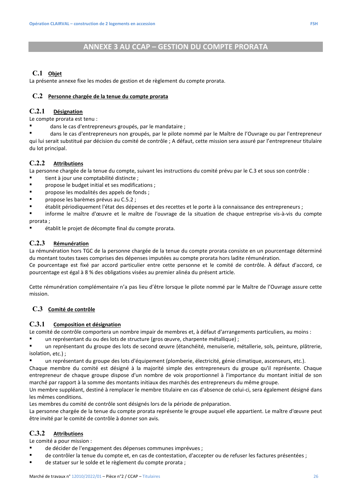## **C.1 Objet**

La présente annexe fixe les modes de gestion et de règlement du compte prorata.

## **C.2 Personne chargée de la tenue du compte prorata**

## **C.2.1 Désignation**

Le compte prorata est tenu :

dans le cas d'entrepreneurs groupés, par le mandataire ;

 dans le cas d'entrepreneurs non groupés, par le pilote nommé par le Maître de l'Ouvrage ou par l'entrepreneur qui lui serait substitué par décision du comité de contrôle ; A défaut, cette mission sera assuré par l'entrepreneur titulaire du lot principal.

## **C.2.2 Attributions**

La personne chargée de la tenue du compte, suivant les instructions du comité prévu par le C.3 et sous son contrôle :

- tient à jour une comptabilité distincte ;
- propose le budget initial et ses modifications ;
- propose les modalités des appels de fonds ;
- propose les barèmes prévus au C.5.2 ;
- établit périodiquement l'état des dépenses et des recettes et le porte à la connaissance des entrepreneurs ;
- informe le maître d'œuvre et le maître de l'ouvrage de la situation de chaque entreprise vis-à-vis du compte prorata ;
- établit le projet de décompte final du compte prorata.

## **C.2.3 Rémunération**

La rémunération hors TGC de la personne chargée de la tenue du compte prorata consiste en un pourcentage déterminé du montant toutes taxes comprises des dépenses imputées au compte prorata hors ladite rémunération.

Ce pourcentage est fixé par accord particulier entre cette personne et le comité de contrôle. À défaut d'accord, ce pourcentage est égal à 8 % des obligations visées au premier alinéa du présent article.

Cette rémunération complémentaire n'a pas lieu d'être lorsque le pilote nommé par le Maître de l'Ouvrage assure cette mission.

## **C.3 Comité de contrôle**

## **C.3.1 Composition et désignation**

Le comité de contrôle comportera un nombre impair de membres et, à défaut d'arrangements particuliers, au moins :

un représentant du ou des lots de structure (gros œuvre, charpente métallique) ;

 un représentant du groupe des lots de second œuvre (étanchéité, menuiserie, métallerie, sols, peinture, plâtrerie, isolation, etc.) ;

un représentant du groupe des lots d'équipement (plomberie, électricité, génie climatique, ascenseurs, etc.).

Chaque membre du comité est désigné à la majorité simple des entrepreneurs du groupe qu'il représente. Chaque entrepreneur de chaque groupe dispose d'un nombre de voix proportionnel à l'importance du montant initial de son marché par rapport à la somme des montants initiaux des marchés des entrepreneurs du même groupe.

Un membre suppléant, destiné à remplacer le membre titulaire en cas d'absence de celui-ci, sera également désigné dans les mêmes conditions.

Les membres du comité de contrôle sont désignés lors de la période de préparation.

La personne chargée de la tenue du compte prorata représente le groupe auquel elle appartient. Le maître d'œuvre peut être invité par le comité de contrôle à donner son avis.

## **C.3.2 Attributions**

Le comité a pour mission :

- de décider de l'engagement des dépenses communes imprévues ;
- de contrôler la tenue du compte et, en cas de contestation, d'accepter ou de refuser les factures présentées ;
- de statuer sur le solde et le règlement du compte prorata ;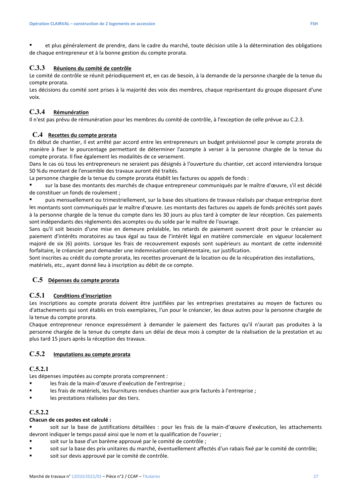et plus généralement de prendre, dans le cadre du marché, toute décision utile à la détermination des obligations de chaque entrepreneur et à la bonne gestion du compte prorata.

## **C.3.3 Réunions du comité de contrôle**

Le comité de contrôle se réunit périodiquement et, en cas de besoin, à la demande de la personne chargée de la tenue du compte prorata.

Les décisions du comité sont prises à la majorité des voix des membres, chaque représentant du groupe disposant d'une voix.

## **C.3.4 Rémunération**

Il n'est pas prévu de rémunération pour les membres du comité de contrôle, à l'exception de celle prévue au C.2.3.

## **C.4 Recettes du compte prorata**

En début de chantier, il est arrêté par accord entre les entrepreneurs un budget prévisionnel pour le compte prorata de manière à fixer le pourcentage permettant de déterminer l'acompte à verser à la personne chargée de la tenue du compte prorata. Il fixe également les modalités de ce versement.

Dans le cas où tous les entrepreneurs ne seraient pas désignés à l'ouverture du chantier, cet accord interviendra lorsque 50 % du montant de l'ensemble des travaux auront été traités.

La personne chargée de la tenue du compte prorata établit les factures ou appels de fonds :

 sur la base des montants des marchés de chaque entrepreneur communiqués par le maître d'œuvre, s'il est décidé de constituer un fonds de roulement ;

 puis mensuellement ou trimestriellement, sur la base des situations de travaux réalisés par chaque entreprise dont les montants sont communiqués par le maître d'œuvre. Les montants des factures ou appels de fonds précités sont payés à la personne chargée de la tenue du compte dans les 30 jours au plus tard à compter de leur réception. Ces paiements sont indépendants des règlements des acomptes ou du solde par le maître de l'ouvrage.

Sans qu'il soit besoin d'une mise en demeure préalable, les retards de paiement ouvrent droit pour le créancier au paiement d'intérêts moratoires au taux égal au taux de l'intérêt légal en matière commerciale en vigueur localement majoré de six (6) points. Lorsque les frais de recouvrement exposés sont supérieurs au montant de cette indemnité forfaitaire, le créancier peut demander une indemnisation complémentaire, sur justification.

Sont inscrites au crédit du compte prorata, les recettes provenant de la location ou de la récupération des installations, matériels, etc., ayant donné lieu à inscription au débit de ce compte.

## **C.5 Dépenses du compte prorata**

## **C.5.1 Conditions d'inscription**

Les inscriptions au compte prorata doivent être justifiées par les entreprises prestataires au moyen de factures ou d'attachements qui sont établis en trois exemplaires, l'un pour le créancier, les deux autres pour la personne chargée de la tenue du compte prorata.

Chaque entrepreneur renonce expressément à demander le paiement des factures qu'il n'aurait pas produites à la personne chargée de la tenue du compte dans un délai de deux mois à compter de la réalisation de la prestation et au plus tard 15 jours après la réception des travaux.

## **C.5.2 Imputations au compte prorata**

#### **C.5.2.1**

Les dépenses imputées au compte prorata comprennent :

- les frais de la main-d'œuvre d'exécution de l'entreprise ;
- les frais de matériels, les fournitures rendues chantier aux prix facturés à l'entreprise ;
- les prestations réalisées par des tiers.

## **C.5.2.2**

#### **Chacun de ces postes est calculé :**

 soit sur la base de justifications détaillées : pour les frais de la main-d'œuvre d'exécution, les attachements devront indiquer le temps passé ainsi que le nom et la qualification de l'ouvrier ;

- soit sur la base d'un barème approuvé par le comité de contrôle ;
- soit sur la base des prix unitaires du marché, éventuellement affectés d'un rabais fixé par le comité de contrôle;
- soit sur devis approuvé par le comité de contrôle.